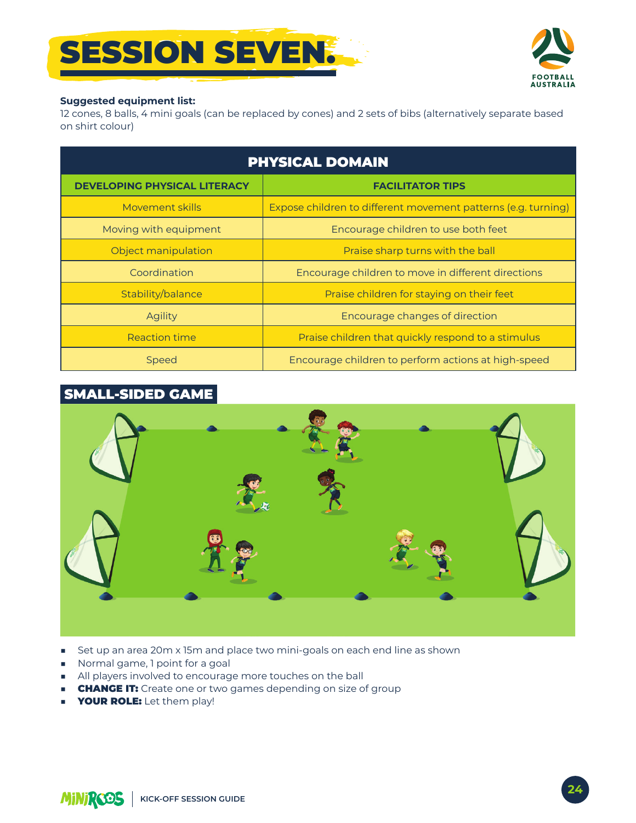# **SESSION SEVENT**



#### **Suggested equipment list:**

12 cones, 8 balls, 4 mini goals (can be replaced by cones) and 2 sets of bibs (alternatively separate based on shirt colour)

| <b>PHYSICAL DOMAIN</b>              |                                                               |
|-------------------------------------|---------------------------------------------------------------|
| <b>DEVELOPING PHYSICAL LITERACY</b> | <b>FACILITATOR TIPS</b>                                       |
| Movement skills                     | Expose children to different movement patterns (e.g. turning) |
| Moving with equipment               | Encourage children to use both feet                           |
| Object manipulation                 | Praise sharp turns with the ball                              |
| Coordination                        | Encourage children to move in different directions            |
| Stability/balance                   | Praise children for staying on their feet                     |
| <b>Agility</b>                      | Encourage changes of direction                                |
| Reaction time                       | Praise children that quickly respond to a stimulus            |
| Speed                               | Encourage children to perform actions at high-speed           |

### **SMALL-SIDED GAME**



- Set up an area 20m x 15m and place two mini-goals on each end line as shown ٠
- Normal game, 1 point for a goal
- All players involved to encourage more touches on the ball
- **CHANGE IT:** Create one or two games depending on size of group
- **YOUR ROLE:** Let them play!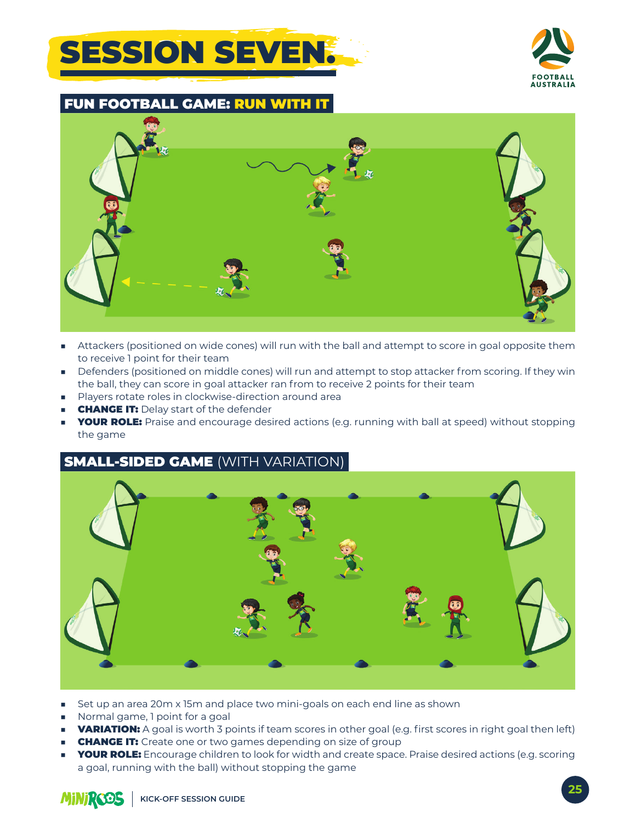## **SESSION SEVEN!**



**FUN FOOTBALL GAME: RUN** 



- Attackers (positioned on wide cones) will run with the ball and attempt to score in goal opposite them m. to receive 1 point for their team
- Defenders (positioned on middle cones) will run and attempt to stop attacker from scoring. If they win the ball, they can score in goal attacker ran from to receive 2 points for their team
- Players rotate roles in clockwise-direction around area
- **CHANGE IT: Delay start of the defender**
- **YOUR ROLE:** Praise and encourage desired actions (e.g. running with ball at speed) without stopping the game

### **SMALL-SIDED GAME (WITH VARIATION)**



- Set up an area 20m x 15m and place two mini-goals on each end line as shown
- Normal game, I point for a goal
- **VARIATION:** A goal is worth 3 points if team scores in other goal (e.g. first scores in right goal then left)
- **CHANGE IT:** Create one or two games depending on size of group ×.
- **YOUR ROLE:** Encourage children to look for width and create space. Praise desired actions (e.g. scoring ٠ a goal, running with the ball) without stopping the game